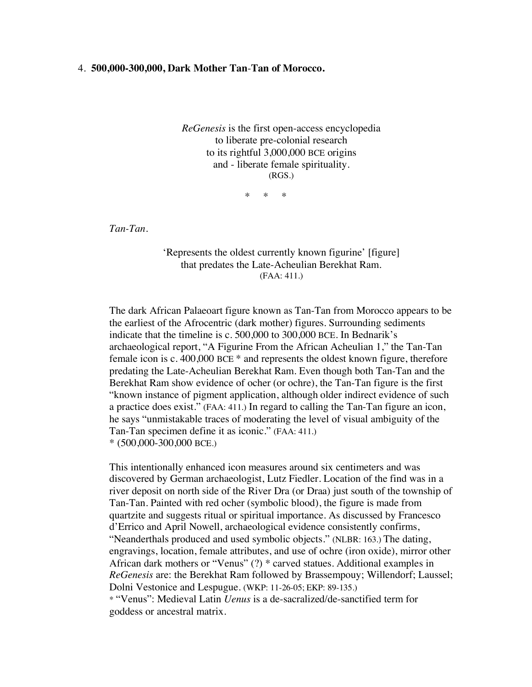## 4. **500,000-300,000, Dark Mother Tan**-**Tan of Morocco.**

*ReGenesis* is the first open-access encyclopedia to liberate pre-colonial research to its rightful 3,000,000 BCE origins and - liberate female spirituality. (RGS.)

\* \* \*

*Tan-Tan*.

'Represents the oldest currently known figurine' [figure] that predates the Late-Acheulian Berekhat Ram. (FAA: 411.)

The dark African Palaeoart figure known as Tan-Tan from Morocco appears to be the earliest of the Afrocentric (dark mother) figures. Surrounding sediments indicate that the timeline is c. 500,000 to 300,000 BCE. In Bednarik's archaeological report, "A Figurine From the African Acheulian 1," the Tan-Tan female icon is c. 400,000 BCE \* and represents the oldest known figure, therefore predating the Late-Acheulian Berekhat Ram. Even though both Tan-Tan and the Berekhat Ram show evidence of ocher (or ochre), the Tan-Tan figure is the first "known instance of pigment application, although older indirect evidence of such a practice does exist." (FAA: 411.) In regard to calling the Tan-Tan figure an icon, he says "unmistakable traces of moderating the level of visual ambiguity of the Tan-Tan specimen define it as iconic." (FAA: 411.) \* (500,000-300,000 BCE.)

This intentionally enhanced icon measures around six centimeters and was discovered by German archaeologist, Lutz Fiedler. Location of the find was in a river deposit on north side of the River Dra (or Draa) just south of the township of Tan-Tan. Painted with red ocher (symbolic blood), the figure is made from quartzite and suggests ritual or spiritual importance. As discussed by Francesco d'Errico and April Nowell, archaeological evidence consistently confirms, "Neanderthals produced and used symbolic objects." (NLBR: 163.) The dating, engravings, location, female attributes, and use of ochre (iron oxide), mirror other African dark mothers or "Venus" (?) \* carved statues. Additional examples in *ReGenesis* are: the Berekhat Ram followed by Brassempouy; Willendorf; Laussel; Dolni Vestonice and Lespugue. (WKP: 11-26-05; EKP: 89-135.) \* "Venus": Medieval Latin *Uenus* is a de-sacralized/de-sanctified term for goddess or ancestral matrix.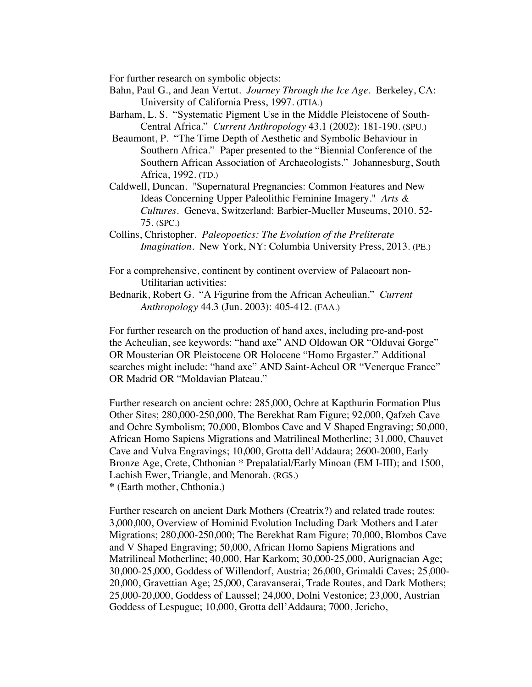For further research on symbolic objects:

- Bahn, Paul G., and Jean Vertut. *Journey Through the Ice Age*. Berkeley, CA: University of California Press, 1997. (JTIA.)
- Barham, L. S. "Systematic Pigment Use in the Middle Pleistocene of South-Central Africa." *Current Anthropology* 43.1 (2002): 181-190. (SPU.)
- Beaumont, P. "The Time Depth of Aesthetic and Symbolic Behaviour in Southern Africa." Paper presented to the "Biennial Conference of the Southern African Association of Archaeologists." Johannesburg, South Africa, 1992. (TD.)
- Caldwell, Duncan. "Supernatural Pregnancies: Common Features and New Ideas Concerning Upper Paleolithic Feminine Imagery." *Arts & Cultures.* Geneva, Switzerland: Barbier-Mueller Museums, 2010. 52- 75. (SPC.)
- Collins, Christopher. *Paleopoetics: The Evolution of the Preliterate Imagination*. New York, NY: Columbia University Press, 2013. (PE.)
- For a comprehensive, continent by continent overview of Palaeoart non-Utilitarian activities:
- Bednarik, Robert G. "A Figurine from the African Acheulian." *Current Anthropology* 44.3 (Jun. 2003): 405-412. (FAA.)

For further research on the production of hand axes, including pre-and-post the Acheulian, see keywords: "hand axe" AND Oldowan OR "Olduvai Gorge" OR Mousterian OR Pleistocene OR Holocene "Homo Ergaster." Additional searches might include: "hand axe" AND Saint-Acheul OR "Venerque France" OR Madrid OR "Moldavian Plateau."

Further research on ancient ochre: 285,000, Ochre at Kapthurin Formation Plus Other Sites; 280,000-250,000, The Berekhat Ram Figure; 92,000, Qafzeh Cave and Ochre Symbolism; 70,000, Blombos Cave and V Shaped Engraving; 50,000, African Homo Sapiens Migrations and Matrilineal Motherline; 31,000, Chauvet Cave and Vulva Engravings; 10,000, Grotta dell'Addaura; 2600-2000, Early Bronze Age, Crete, Chthonian \* Prepalatial/Early Minoan (EM I-III); and 1500, Lachish Ewer, Triangle, and Menorah. (RGS.) **\*** (Earth mother, Chthonia.)

Further research on ancient Dark Mothers (Creatrix?) and related trade routes: 3,000,000, Overview of Hominid Evolution Including Dark Mothers and Later Migrations; 280,000-250,000; The Berekhat Ram Figure; 70,000, Blombos Cave and V Shaped Engraving; 50,000, African Homo Sapiens Migrations and Matrilineal Motherline; 40,000, Har Karkom; 30,000-25,000, Aurignacian Age; 30,000-25,000, Goddess of Willendorf, Austria; 26,000, Grimaldi Caves; 25,000- 20,000, Gravettian Age; 25,000, Caravanserai, Trade Routes, and Dark Mothers; 25,000-20,000, Goddess of Laussel; 24,000, Dolni Vestonice; 23,000, Austrian Goddess of Lespugue; 10,000, Grotta dell'Addaura; 7000, Jericho,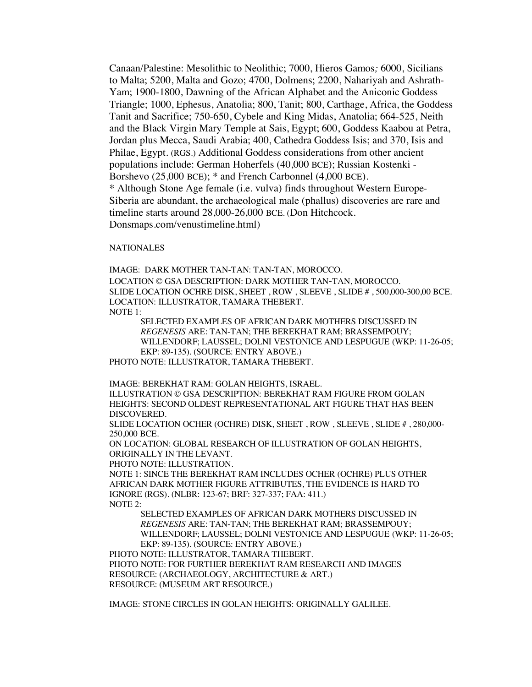Canaan/Palestine: Mesolithic to Neolithic; 7000, Hieros Gamos*;* 6000, Sicilians to Malta; 5200, Malta and Gozo; 4700, Dolmens; 2200, Nahariyah and Ashrath-Yam; 1900-1800, Dawning of the African Alphabet and the Aniconic Goddess Triangle; 1000, Ephesus, Anatolia; 800, Tanit; 800, Carthage, Africa, the Goddess Tanit and Sacrifice; 750-650, Cybele and King Midas, Anatolia; 664-525, Neith and the Black Virgin Mary Temple at Sais, Egypt; 600, Goddess Kaabou at Petra, Jordan plus Mecca, Saudi Arabia; 400, Cathedra Goddess Isis; and 370, Isis and Philae, Egypt. (RGS.) Additional Goddess considerations from other ancient populations include: German Hoherfels (40,000 BCE); Russian Kostenki - Borshevo (25,000 BCE); \* and French Carbonnel (4,000 BCE). \* Although Stone Age female (i.e. vulva) finds throughout Western Europe-Siberia are abundant, the archaeological male (phallus) discoveries are rare and timeline starts around 28,000-26,000 BCE. (Don Hitchcock. Donsmaps.com/venustimeline.html)

**NATIONALES** 

IMAGE: DARK MOTHER TAN-TAN: TAN-TAN, MOROCCO.

LOCATION © GSA DESCRIPTION: DARK MOTHER TAN-TAN, MOROCCO. SLIDE LOCATION OCHRE DISK, SHEET , ROW , SLEEVE , SLIDE # , 500,000-300,00 BCE. LOCATION: ILLUSTRATOR, TAMARA THEBERT. NOTE 1:

SELECTED EXAMPLES OF AFRICAN DARK MOTHERS DISCUSSED IN *REGENESIS* ARE: TAN-TAN; THE BEREKHAT RAM; BRASSEMPOUY; WILLENDORF; LAUSSEL; DOLNI VESTONICE AND LESPUGUE (WKP: 11-26-05; EKP: 89-135). (SOURCE: ENTRY ABOVE.)

PHOTO NOTE: ILLUSTRATOR, TAMARA THEBERT.

IMAGE: BEREKHAT RAM: GOLAN HEIGHTS, ISRAEL.

ILLUSTRATION © GSA DESCRIPTION: BEREKHAT RAM FIGURE FROM GOLAN HEIGHTS: SECOND OLDEST REPRESENTATIONAL ART FIGURE THAT HAS BEEN DISCOVERED.

SLIDE LOCATION OCHER (OCHRE) DISK, SHEET , ROW , SLEEVE , SLIDE # , 280,000- 250,000 BCE.

ON LOCATION: GLOBAL RESEARCH OF ILLUSTRATION OF GOLAN HEIGHTS, ORIGINALLY IN THE LEVANT.

PHOTO NOTE: ILLUSTRATION.

NOTE 1: SINCE THE BEREKHAT RAM INCLUDES OCHER (OCHRE) PLUS OTHER AFRICAN DARK MOTHER FIGURE ATTRIBUTES, THE EVIDENCE IS HARD TO IGNORE (RGS). (NLBR: 123-67; BRF: 327-337; FAA: 411.) NOTE 2:

SELECTED EXAMPLES OF AFRICAN DARK MOTHERS DISCUSSED IN *REGENESIS* ARE: TAN-TAN; THE BEREKHAT RAM; BRASSEMPOUY; WILLENDORF; LAUSSEL; DOLNI VESTONICE AND LESPUGUE (WKP: 11-26-05; EKP: 89-135). (SOURCE: ENTRY ABOVE.)

PHOTO NOTE: ILLUSTRATOR, TAMARA THEBERT. PHOTO NOTE: FOR FURTHER BEREKHAT RAM RESEARCH AND IMAGES RESOURCE: (ARCHAEOLOGY, ARCHITECTURE & ART.) RESOURCE: (MUSEUM ART RESOURCE.)

IMAGE: STONE CIRCLES IN GOLAN HEIGHTS: ORIGINALLY GALILEE.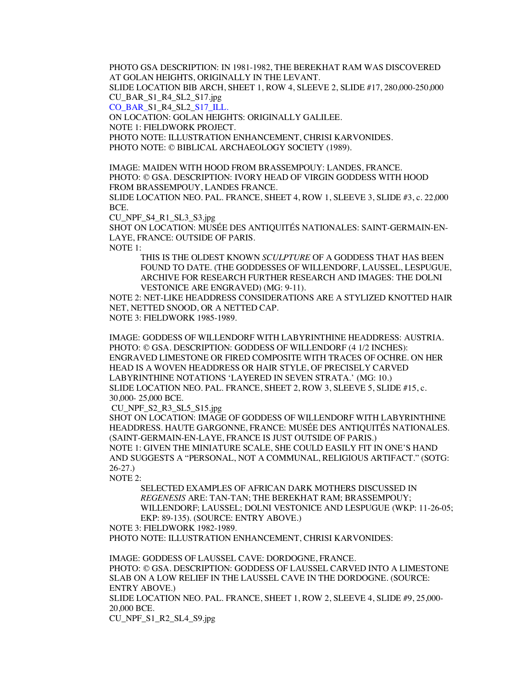PHOTO GSA DESCRIPTION: IN 1981-1982, THE BEREKHAT RAM WAS DISCOVERED AT GOLAN HEIGHTS, ORIGINALLY IN THE LEVANT.

SLIDE LOCATION BIB ARCH, SHEET 1, ROW 4, SLEEVE 2, SLIDE #17, 280,000-250,000 CU\_BAR\_S1\_R4\_SL2\_S17.jpg

CO\_BAR\_S1\_R4\_SL2\_S17\_ILL.

ON LOCATION: GOLAN HEIGHTS: ORIGINALLY GALILEE.

NOTE 1: FIELDWORK PROJECT.

PHOTO NOTE: ILLUSTRATION ENHANCEMENT, CHRISI KARVONIDES. PHOTO NOTE: © BIBLICAL ARCHAEOLOGY SOCIETY (1989).

IMAGE: MAIDEN WITH HOOD FROM BRASSEMPOUY: LANDES, FRANCE. PHOTO: © GSA. DESCRIPTION: IVORY HEAD OF VIRGIN GODDESS WITH HOOD FROM BRASSEMPOUY, LANDES FRANCE.

SLIDE LOCATION NEO. PAL. FRANCE, SHEET 4, ROW 1, SLEEVE 3, SLIDE #3, c. 22,000 BCE.

CU\_NPF\_S4\_R1\_SL3\_S3.jpg

SHOT ON LOCATION: MUSÉE DES ANTIQUITÉS NATIONALES: SAINT-GERMAIN-EN-LAYE, FRANCE: OUTSIDE OF PARIS.

NOTE 1:

THIS IS THE OLDEST KNOWN *SCULPTURE* OF A GODDESS THAT HAS BEEN FOUND TO DATE. (THE GODDESSES OF WILLENDORF, LAUSSEL, LESPUGUE, ARCHIVE FOR RESEARCH FURTHER RESEARCH AND IMAGES: THE DOLNI VESTONICE ARE ENGRAVED) (MG: 9-11).

NOTE 2: NET-LIKE HEADDRESS CONSIDERATIONS ARE A STYLIZED KNOTTED HAIR NET, NETTED SNOOD, OR A NETTED CAP.

NOTE 3: FIELDWORK 1985-1989.

IMAGE: GODDESS OF WILLENDORF WITH LABYRINTHINE HEADDRESS: AUSTRIA. PHOTO: © GSA. DESCRIPTION: GODDESS OF WILLENDORF (4 1/2 INCHES): ENGRAVED LIMESTONE OR FIRED COMPOSITE WITH TRACES OF OCHRE. ON HER HEAD IS A WOVEN HEADDRESS OR HAIR STYLE, OF PRECISELY CARVED LABYRINTHINE NOTATIONS 'LAYERED IN SEVEN STRATA.' (MG: 10.) SLIDE LOCATION NEO. PAL. FRANCE, SHEET 2, ROW 3, SLEEVE 5, SLIDE #15, c. 30,000- 25,000 BCE.

CU\_NPF\_S2\_R3\_SL5\_S15.jpg

SHOT ON LOCATION: IMAGE OF GODDESS OF WILLENDORF WITH LABYRINTHINE HEADDRESS. HAUTE GARGONNE, FRANCE: MUSÉE DES ANTIQUITÉS NATIONALES. (SAINT-GERMAIN-EN-LAYE, FRANCE IS JUST OUTSIDE OF PARIS.) NOTE 1: GIVEN THE MINIATURE SCALE, SHE COULD EASILY FIT IN ONE'S HAND AND SUGGESTS A "PERSONAL, NOT A COMMUNAL, RELIGIOUS ARTIFACT." (SOTG: 26-27.)

NOTE 2:

SELECTED EXAMPLES OF AFRICAN DARK MOTHERS DISCUSSED IN *REGENESIS* ARE: TAN-TAN; THE BEREKHAT RAM; BRASSEMPOUY; WILLENDORF; LAUSSEL; DOLNI VESTONICE AND LESPUGUE (WKP: 11-26-05; EKP: 89-135). (SOURCE: ENTRY ABOVE.)

NOTE 3: FIELDWORK 1982-1989.

PHOTO NOTE: ILLUSTRATION ENHANCEMENT, CHRISI KARVONIDES:

IMAGE: GODDESS OF LAUSSEL CAVE: DORDOGNE, FRANCE. PHOTO: © GSA. DESCRIPTION: GODDESS OF LAUSSEL CARVED INTO A LIMESTONE SLAB ON A LOW RELIEF IN THE LAUSSEL CAVE IN THE DORDOGNE. (SOURCE: ENTRY ABOVE.)

SLIDE LOCATION NEO. PAL. FRANCE, SHEET 1, ROW 2, SLEEVE 4, SLIDE #9, 25,000- 20,000 BCE.

CU\_NPF\_S1\_R2\_SL4\_S9.jpg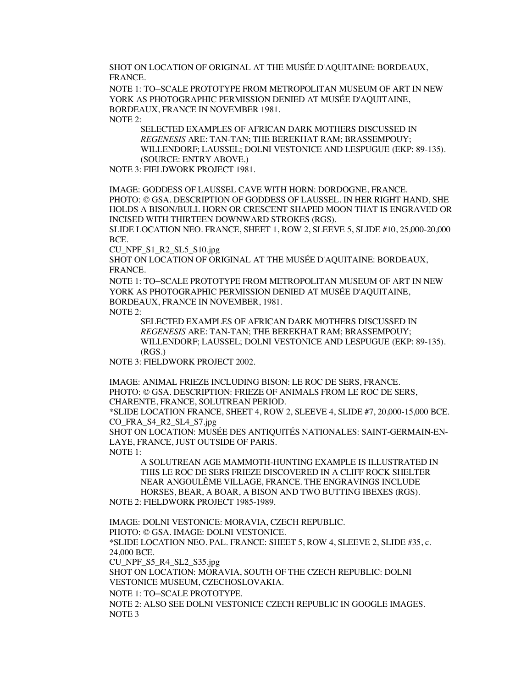SHOT ON LOCATION OF ORIGINAL AT THE MUSÉE D'AQUITAINE: BORDEAUX, FRANCE.

NOTE 1: TO–SCALE PROTOTYPE FROM METROPOLITAN MUSEUM OF ART IN NEW YORK AS PHOTOGRAPHIC PERMISSION DENIED AT MUSÉE D'AQUITAINE, BORDEAUX, FRANCE IN NOVEMBER 1981. NOTE 2:

SELECTED EXAMPLES OF AFRICAN DARK MOTHERS DISCUSSED IN *REGENESIS* ARE: TAN-TAN; THE BEREKHAT RAM; BRASSEMPOUY; WILLENDORF; LAUSSEL; DOLNI VESTONICE AND LESPUGUE (EKP: 89-135). (SOURCE: ENTRY ABOVE.)

NOTE 3: FIELDWORK PROJECT 1981.

IMAGE: GODDESS OF LAUSSEL CAVE WITH HORN: DORDOGNE, FRANCE. PHOTO: © GSA. DESCRIPTION OF GODDESS OF LAUSSEL. IN HER RIGHT HAND, SHE HOLDS A BISON/BULL HORN OR CRESCENT SHAPED MOON THAT IS ENGRAVED OR INCISED WITH THIRTEEN DOWNWARD STROKES (RGS).

SLIDE LOCATION NEO. FRANCE, SHEET 1, ROW 2, SLEEVE 5, SLIDE #10, 25,000-20,000 BCE.

CU\_NPF\_S1\_R2\_SL5\_S10.jpg

SHOT ON LOCATION OF ORIGINAL AT THE MUSÉE D'AQUITAINE: BORDEAUX, FRANCE.

NOTE 1: TO–SCALE PROTOTYPE FROM METROPOLITAN MUSEUM OF ART IN NEW YORK AS PHOTOGRAPHIC PERMISSION DENIED AT MUSÉE D'AQUITAINE, BORDEAUX, FRANCE IN NOVEMBER, 1981.

NOTE 2:

SELECTED EXAMPLES OF AFRICAN DARK MOTHERS DISCUSSED IN *REGENESIS* ARE: TAN-TAN; THE BEREKHAT RAM; BRASSEMPOUY; WILLENDORF; LAUSSEL; DOLNI VESTONICE AND LESPUGUE (EKP: 89-135). (RGS.)

NOTE 3: FIELDWORK PROJECT 2002.

IMAGE: ANIMAL FRIEZE INCLUDING BISON: LE ROC DE SERS, FRANCE. PHOTO: © GSA. DESCRIPTION: FRIEZE OF ANIMALS FROM LE ROC DE SERS, CHARENTE, FRANCE, SOLUTREAN PERIOD.

\*SLIDE LOCATION FRANCE, SHEET 4, ROW 2, SLEEVE 4, SLIDE #7, 20,000-15,000 BCE. CO\_FRA\_S4\_R2\_SL4\_S7.jpg

SHOT ON LOCATION: MUSÉE DES ANTIQUITÉS NATIONALES: SAINT-GERMAIN-EN-LAYE, FRANCE, JUST OUTSIDE OF PARIS. NOTE 1:

A SOLUTREAN AGE MAMMOTH-HUNTING EXAMPLE IS ILLUSTRATED IN THIS LE ROC DE SERS FRIEZE DISCOVERED IN A CLIFF ROCK SHELTER NEAR ANGOULÊME VILLAGE, FRANCE. THE ENGRAVINGS INCLUDE HORSES, BEAR, A BOAR, A BISON AND TWO BUTTING IBEXES (RGS). NOTE 2: FIELDWORK PROJECT 1985-1989.

IMAGE: DOLNI VESTONICE: MORAVIA, CZECH REPUBLIC. PHOTO: © GSA. IMAGE: DOLNI VESTONICE. \*SLIDE LOCATION NEO. PAL. FRANCE: SHEET 5, ROW 4, SLEEVE 2, SLIDE #35, c. 24,000 BCE. CU\_NPF\_S5\_R4\_SL2\_S35.jpg SHOT ON LOCATION: MORAVIA, SOUTH OF THE CZECH REPUBLIC: DOLNI VESTONICE MUSEUM, CZECHOSLOVAKIA. NOTE 1: TO–SCALE PROTOTYPE. NOTE 2: ALSO SEE DOLNI VESTONICE CZECH REPUBLIC IN GOOGLE IMAGES. NOTE 3